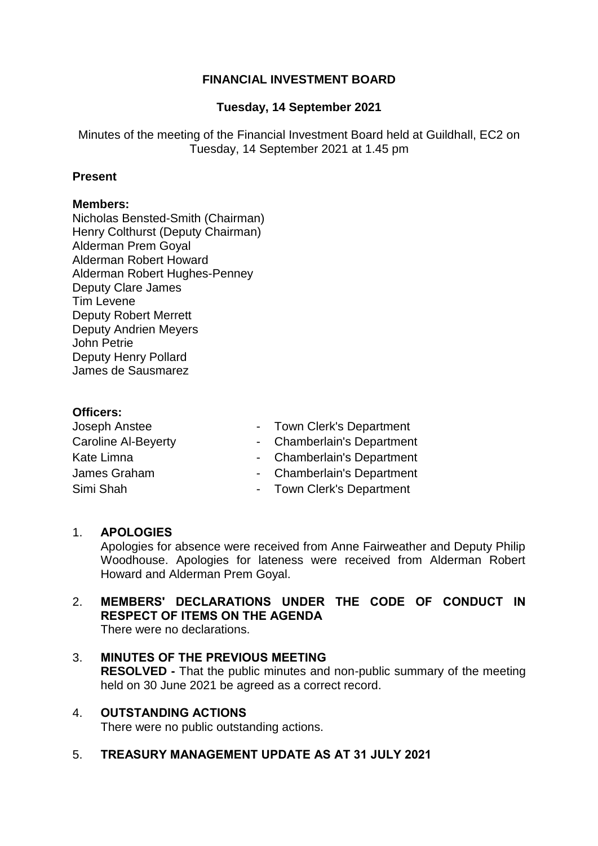# **FINANCIAL INVESTMENT BOARD**

## **Tuesday, 14 September 2021**

Minutes of the meeting of the Financial Investment Board held at Guildhall, EC2 on Tuesday, 14 September 2021 at 1.45 pm

#### **Present**

#### **Members:**

Nicholas Bensted-Smith (Chairman) Henry Colthurst (Deputy Chairman) Alderman Prem Goyal Alderman Robert Howard Alderman Robert Hughes-Penney Deputy Clare James Tim Levene Deputy Robert Merrett Deputy Andrien Meyers John Petrie Deputy Henry Pollard James de Sausmarez

#### **Officers:**

- Joseph Anstee  **Town Clerk's Department**
- Caroline Al-Beyerty  **Chamberlain's Department**
- Kate Limna  **Chamberlain's Department**
- James Graham Chamberlain's Department
- Simi Shah  **Town Clerk's Department**

## 1. **APOLOGIES**

Apologies for absence were received from Anne Fairweather and Deputy Philip Woodhouse. Apologies for lateness were received from Alderman Robert Howard and Alderman Prem Goyal.

#### 2. **MEMBERS' DECLARATIONS UNDER THE CODE OF CONDUCT IN RESPECT OF ITEMS ON THE AGENDA** There were no declarations.

- 3. **MINUTES OF THE PREVIOUS MEETING RESOLVED -** That the public minutes and non-public summary of the meeting held on 30 June 2021 be agreed as a correct record.
- 4. **OUTSTANDING ACTIONS**

There were no public outstanding actions.

# 5. **TREASURY MANAGEMENT UPDATE AS AT 31 JULY 2021**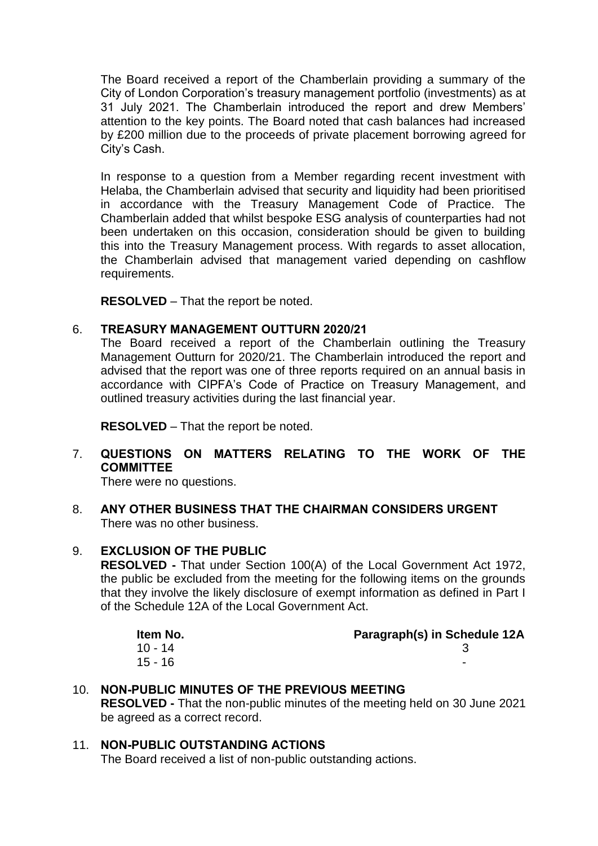The Board received a report of the Chamberlain providing a summary of the City of London Corporation's treasury management portfolio (investments) as at 31 July 2021. The Chamberlain introduced the report and drew Members' attention to the key points. The Board noted that cash balances had increased by £200 million due to the proceeds of private placement borrowing agreed for City's Cash.

In response to a question from a Member regarding recent investment with Helaba, the Chamberlain advised that security and liquidity had been prioritised in accordance with the Treasury Management Code of Practice. The Chamberlain added that whilst bespoke ESG analysis of counterparties had not been undertaken on this occasion, consideration should be given to building this into the Treasury Management process. With regards to asset allocation, the Chamberlain advised that management varied depending on cashflow requirements.

**RESOLVED** – That the report be noted.

## 6. **TREASURY MANAGEMENT OUTTURN 2020/21**

The Board received a report of the Chamberlain outlining the Treasury Management Outturn for 2020/21. The Chamberlain introduced the report and advised that the report was one of three reports required on an annual basis in accordance with CIPFA's Code of Practice on Treasury Management, and outlined treasury activities during the last financial year.

**RESOLVED** – That the report be noted.

# 7. **QUESTIONS ON MATTERS RELATING TO THE WORK OF THE COMMITTEE**

There were no questions.

8. **ANY OTHER BUSINESS THAT THE CHAIRMAN CONSIDERS URGENT** There was no other business.

## 9. **EXCLUSION OF THE PUBLIC**

**RESOLVED -** That under Section 100(A) of the Local Government Act 1972, the public be excluded from the meeting for the following items on the grounds that they involve the likely disclosure of exempt information as defined in Part I of the Schedule 12A of the Local Government Act.

## **Item No. Paragraph(s) in Schedule 12A**

 $10 - 14$  3  $15 - 16$ 

# 10. **NON-PUBLIC MINUTES OF THE PREVIOUS MEETING**

**RESOLVED -** That the non-public minutes of the meeting held on 30 June 2021 be agreed as a correct record.

# 11. **NON-PUBLIC OUTSTANDING ACTIONS**

The Board received a list of non-public outstanding actions.